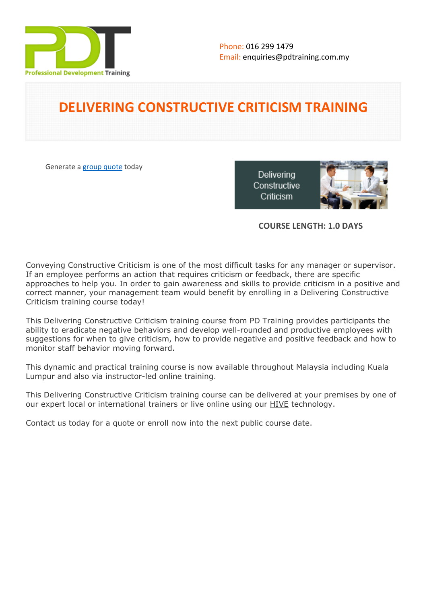

# **DELIVERING CONSTRUCTIVE CRITICISM TRAINING**

Generate a [group quote](https://pdtraining.com.my/inhouse-training-quote?cse=PDT9066) today

Deliverina Constructive Criticism



# **COURSE LENGTH: 1.0 DAYS**

Conveying Constructive Criticism is one of the most difficult tasks for any manager or supervisor. If an employee performs an action that requires criticism or feedback, there are specific approaches to help you. In order to gain awareness and skills to provide criticism in a positive and correct manner, your management team would benefit by enrolling in a Delivering Constructive Criticism training course today!

This Delivering Constructive Criticism training course from PD Training provides participants the ability to eradicate negative behaviors and develop well-rounded and productive employees with suggestions for when to give criticism, how to provide negative and positive feedback and how to monitor staff behavior moving forward.

This dynamic and practical training course is now available throughout Malaysia including Kuala Lumpur and also via instructor-led online training.

This Delivering Constructive Criticism training course can be delivered at your premises by one of our expert local or international trainers or live online using our HIVE technology.

Contact us today for a quote or enroll now into the next public course date.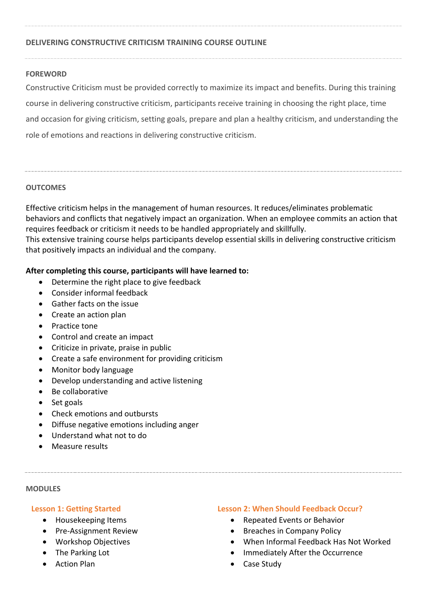## **FOREWORD**

Constructive Criticism must be provided correctly to maximize its impact and benefits. During this training course in delivering constructive criticism, participants receive training in choosing the right place, time and occasion for giving criticism, setting goals, prepare and plan a healthy criticism, and understanding the role of emotions and reactions in delivering constructive criticism.

## **OUTCOMES**

Effective criticism helps in the management of human resources. It reduces/eliminates problematic behaviors and conflicts that negatively impact an organization. When an employee commits an action that requires feedback or criticism it needs to be handled appropriately and skillfully. This extensive training course helps participants develop essential skills in delivering constructive criticism that positively impacts an individual and the company.

## **After completing this course, participants will have learned to:**

- Determine the right place to give feedback
- Consider informal feedback
- Gather facts on the issue
- Create an action plan
- Practice tone
- Control and create an impact
- Criticize in private, praise in public
- Create a safe environment for providing criticism
- Monitor body language
- Develop understanding and active listening
- Be collaborative
- Set goals
- Check emotions and outbursts
- Diffuse negative emotions including anger
- Understand what not to do
- Measure results

#### **MODULES**

#### **Lesson 1: Getting Started**

- Housekeeping Items
- Pre-Assignment Review
- Workshop Objectives
- The Parking Lot
- Action Plan

#### **Lesson 2: When Should Feedback Occur?**

- Repeated Events or Behavior
- Breaches in Company Policy
- When Informal Feedback Has Not Worked
- Immediately After the Occurrence
- Case Study